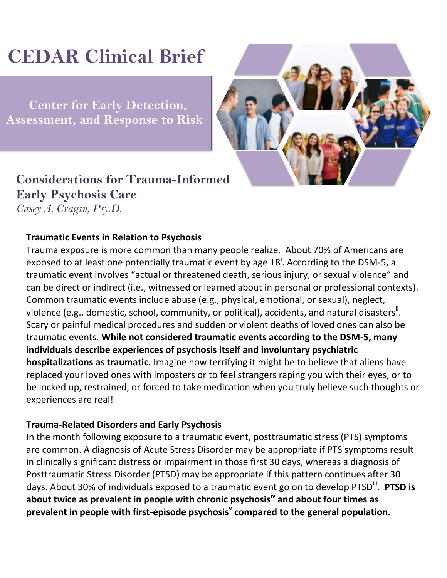# **CEDAR Clinical Brief**

 **Center for Early Detection, Assessment, and Response to Risk**



## **Considerations for Trauma-Informed Early Psychosis Care** *Casey A. Cragin, Psy.D.*

### **Traumatic Events in Relation to Psychosis**

Trauma exposure is more common than many people realize. About 70% of Americans are exposed to at least one potentially traumatic event by age  $18^{\mathsf{i}}$ . According to the DSM-5, a traumatic event involves "actual or threatened death, serious injury, or sexual violence" and can be direct or indirect (i.e., witnessed or learned about in personal or professional contexts). Common traumatic events include abuse (e.g., physical, emotional, or sexual), neglect, violence (e.g., domestic, school, community, or political), accidents, and natural disasters<sup>ii</sup>. Scary or painful medical procedures and sudden or violent deaths of loved ones can also be traumatic events. **While not considered traumatic events according to the DSM-5, many individuals describe experiences of psychosis itself and involuntary psychiatric hospitalizations as traumatic.** Imagine how terrifying it might be to believe that aliens have replaced your loved ones with imposters or to feel strangers raping you with their eyes, or to be locked up, restrained, or forced to take medication when you truly believe such thoughts or experiences are real!

#### **Trauma-Related Disorders and Early Psychosis**

In the month following exposure to a traumatic event, posttraumatic stress (PTS) symptoms are common. A diagnosis of Acute Stress Disorder may be appropriate if PTS symptoms result in clinically significant distress or impairment in those first 30 days, whereas a diagnosis of Posttraumatic Stress Disorder (PTSD) may be appropriate if this pattern continues after 30 days. About 30% of individuals exposed to a traumatic event go on to develop PTSD<sup>iii</sup>. PTSD is **about twice as prevalent in people with chronic psychosisiv and about four times as prevalent in people with first-episode psychosis<sup>v</sup> compared to the general population.**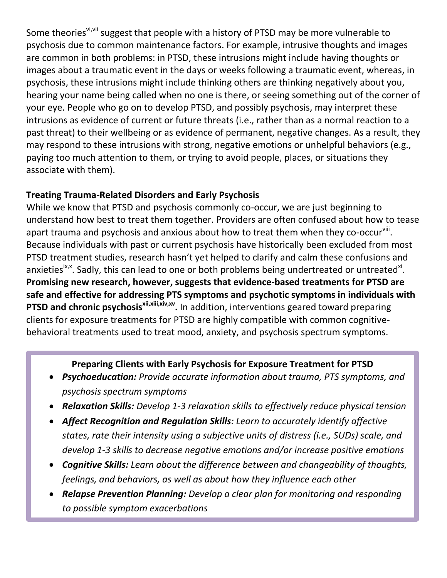Some theories<sup>vi, vii</sup> suggest that people with a history of PTSD may be more vulnerable to psychosis due to common maintenance factors. For example, intrusive thoughts and images are common in both problems: in PTSD, these intrusions might include having thoughts or images about a traumatic event in the days or weeks following a traumatic event, whereas, in psychosis, these intrusions might include thinking others are thinking negatively about you, hearing your name being called when no one is there, or seeing something out of the corner of your eye. People who go on to develop PTSD, and possibly psychosis, may interpret these intrusions as evidence of current or future threats (i.e., rather than as a normal reaction to a past threat) to their wellbeing or as evidence of permanent, negative changes. As a result, they may respond to these intrusions with strong, negative emotions or unhelpful behaviors (e.g., paying too much attention to them, or trying to avoid people, places, or situations they associate with them).

#### **Treating Trauma-Related Disorders and Early Psychosis**

While we know that PTSD and psychosis commonly co-occur, we are just beginning to understand how best to treat them together. Providers are often confused about how to tease apart trauma and psychosis and anxious about how to treat them when they co-occur<sup>viii</sup>. Because individuals with past or current psychosis have historically been excluded from most PTSD treatment studies, research hasn't yet helped to clarify and calm these confusions and anxieties<sup>ix,x</sup>. Sadly, this can lead to one or both problems being undertreated or untreated<sup>xi</sup>. **Promising new research, however, suggests that evidence-based treatments for PTSD are safe and effective for addressing PTS symptoms and psychotic symptoms in individuals with**  PTSD and chronic psychosis<sup>xii,xii,xiv,xv</sup>. In addition, interventions geared toward preparing clients for exposure treatments for PTSD are highly compatible with common cognitivebehavioral treatments used to treat mood, anxiety, and psychosis spectrum symptoms.

#### **Preparing Clients with Early Psychosis for Exposure Treatment for PTSD**

- *Psychoeducation: Provide accurate information about trauma, PTS symptoms, and psychosis spectrum symptoms*
- *Relaxation Skills: Develop 1-3 relaxation skills to effectively reduce physical tension*
- *Affect Recognition and Regulation Skills: Learn to accurately identify affective states, rate their intensity using a subjective units of distress (i.e., SUDs) scale, and develop 1-3 skills to decrease negative emotions and/or increase positive emotions*
- *Cognitive Skills: Learn about the difference between and changeability of thoughts, feelings, and behaviors, as well as about how they influence each other*
- *Relapse Prevention Planning: Develop a clear plan for monitoring and responding to possible symptom exacerbations*